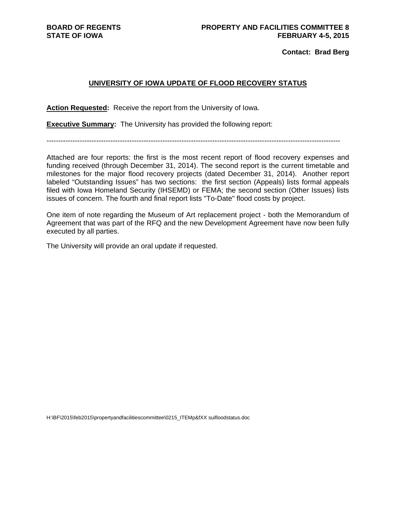**BOARD OF REGENTS STATE OF IOWA** 

**Contact: Brad Berg** 

### **UNIVERSITY OF IOWA UPDATE OF FLOOD RECOVERY STATUS**

**Action Requested:** Receive the report from the University of Iowa.

**Executive Summary:** The University has provided the following report:

----------------------------------------------------------------------------------------------------------------------------

Attached are four reports: the first is the most recent report of flood recovery expenses and funding received (through December 31, 2014). The second report is the current timetable and milestones for the major flood recovery projects (dated December 31, 2014). Another report labeled "Outstanding Issues" has two sections: the first section (Appeals) lists formal appeals filed with Iowa Homeland Security (IHSEMD) or FEMA; the second section (Other Issues) lists issues of concern. The fourth and final report lists "To-Date" flood costs by project.

One item of note regarding the Museum of Art replacement project - both the Memorandum of Agreement that was part of the RFQ and the new Development Agreement have now been fully executed by all parties.

The University will provide an oral update if requested.

H:\BF\2015\feb2015\propertyandfacilitiescommittee\0215\_ITEMp&fXX suifloodstatus.doc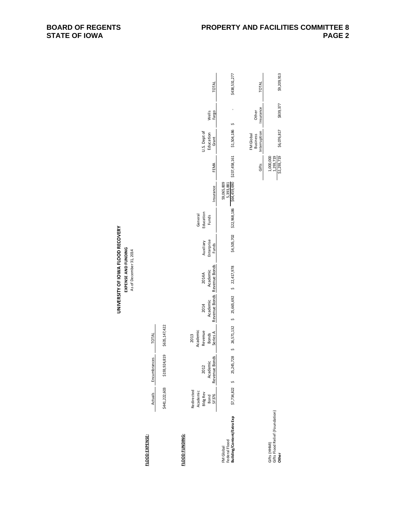|                | TOTAL<br>Wells<br>Fargo<br>U.S. Dept of<br>Education<br>Grant<br>FEMA<br>Insurance<br>Education<br>General<br>Funds                                               | \$438,531,277<br>\$4,505,702 \$22,968,186 \$64,459,690 \$237,458,161 \$1,504,186<br>59,065,809<br>5,393,881 | TOTAL<br>Insurance<br>Other<br>Interruption<br>FM Global<br><b>Business</b><br>Gifts | \$9,209,913<br>\$839,377<br>\$6,076,817<br>\$2,293,719<br>1,293,719<br>1,000,000 |
|----------------|-------------------------------------------------------------------------------------------------------------------------------------------------------------------|-------------------------------------------------------------------------------------------------------------|--------------------------------------------------------------------------------------|----------------------------------------------------------------------------------|
|                | Enterprise<br>Auxiliary<br>Funds<br>Revenue Bonds Revenue Bonds<br>Academic<br>2014A<br>Academic<br>2014                                                          | \$ 26,571,132 \$ 25,665,692 \$ 22,417,978                                                                   |                                                                                      |                                                                                  |
|                | Academic<br>Revenue<br>Series A<br><b>Bonds</b><br>2013<br>Revenue Bonds<br>Academic<br>2012<br>Redirected<br>Academic<br><b>Bldg Rev</b><br>SF376<br><b>Bond</b> | \$7,734,822 \$ 25,245,728                                                                                   |                                                                                      |                                                                                  |
| FLOOD FUNDING: |                                                                                                                                                                   | Federal Flood<br><b>Building/Content/Extra Exp</b><br>FM Global                                             |                                                                                      | Gifts (HHMI)<br>Gifts Flood Relief (Foundation)<br>Other                         |

## **UNIVERSITY OF IOWA FLOOD RECOVERY<br>EXPENSE AND FUNDING<br>As of December 31, 2014 UNIVERSITY OF IOWA FLOOD RECOVERY EXPENSE AND FUNDING**

As of December 31, 2014

**FLOOD EXPENSE: FLOOD EXPENSE:**

**TOTAL** Actuals Encumbrances TOTAL Encumbrances Actuals \$635, 147, 422 \$441,222,603 \$193,924,819 \$635,147,422 \$193,924,819 \$441, 222, 603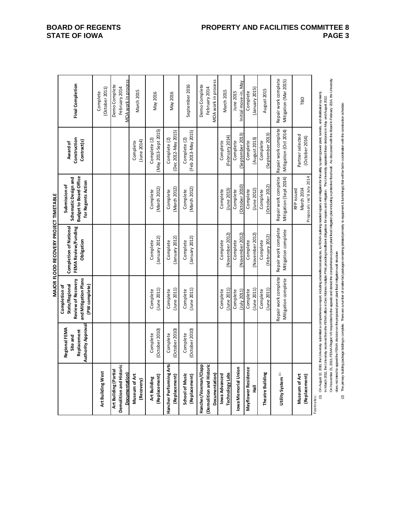|                                                                    |                                                                |                                                                                                       | MAJOR FLOOD RECOVERY PROJECT TIMETABLE                             |                                                                                                                                                                                                                                                                                                                                                                                                                                              |                                               |                                                       |
|--------------------------------------------------------------------|----------------------------------------------------------------|-------------------------------------------------------------------------------------------------------|--------------------------------------------------------------------|----------------------------------------------------------------------------------------------------------------------------------------------------------------------------------------------------------------------------------------------------------------------------------------------------------------------------------------------------------------------------------------------------------------------------------------------|-----------------------------------------------|-------------------------------------------------------|
|                                                                    | Authority Approval<br>Regional FEMA<br>Replacement<br>Site and | and Mitigation Plans<br>Review of Recovery<br>(PW complete)<br>State/Regional<br><b>Completion of</b> | <b>Completion of National</b><br>FEMA Review/Funding<br>Obligation | <b>Budget to Board Office</b><br>Schematic Design and<br>for Regents Action<br>Submission of                                                                                                                                                                                                                                                                                                                                                 | Construction<br>Contract(s)<br>Award of       | <b>Final Completion</b>                               |
| Art Building West                                                  |                                                                |                                                                                                       |                                                                    |                                                                                                                                                                                                                                                                                                                                                                                                                                              |                                               | (October 2011)<br>Complete                            |
| Demolition and Historic<br>Art Building (Partial<br>Documentation) |                                                                |                                                                                                       |                                                                    |                                                                                                                                                                                                                                                                                                                                                                                                                                              |                                               | MOA work in process<br>Demo Complete<br>February 2014 |
| Museum of Art<br>(Recovery)                                        |                                                                |                                                                                                       |                                                                    |                                                                                                                                                                                                                                                                                                                                                                                                                                              | (June 2014)<br>Complete                       | March 2015                                            |
| Replacement)<br>Art Building                                       | (October 2010)<br>Complete                                     | $ $ June 2011)<br>Complete                                                                            | (January 2012)<br>Complete                                         | March 2012)<br>Complete                                                                                                                                                                                                                                                                                                                                                                                                                      | (May 2013-Sept 2015)<br>Complete (2)          | May 2016                                              |
| Hancher Performing Arts<br>(Replacement)                           | (October 2010)<br>Complete                                     | $(l$ une $2011)$<br>Complete                                                                          | (January 2012)<br>Complete                                         | (March 2012)<br>Complete                                                                                                                                                                                                                                                                                                                                                                                                                     | (Dec 2012-May 2015)<br>Complete (2)           | May 2016                                              |
| School of Music<br>(Replacement)                                   | (October 2010)<br>Complete                                     | $($ June 2011)<br>Complete                                                                            | (January 2012)<br>Complete                                         | (March 2012)<br>Complete                                                                                                                                                                                                                                                                                                                                                                                                                     | (Feb 2013-May 2015)<br>Complete (2)           | September 2016                                        |
| (Demolition and Historic<br>Hancher/Voxman/Clapp<br>Documentation) |                                                                |                                                                                                       |                                                                    |                                                                                                                                                                                                                                                                                                                                                                                                                                              |                                               | MOA work in process<br>Demo Complete<br>February 2014 |
| <b>Technology Labs</b><br>Iowa Advanced                            |                                                                | Complete<br>June 2011)                                                                                | November 2012)<br>Complete                                         | Uune 2013)<br>Complete                                                                                                                                                                                                                                                                                                                                                                                                                       | [February 2014]<br>Complete                   | March 2015                                            |
| Iowa Memorial Union                                                |                                                                | Complete<br>$Uuly_2$ 2011)                                                                            | (November 2012)<br>Complete                                        | October 2010)<br>Complete                                                                                                                                                                                                                                                                                                                                                                                                                    | (September 2013)<br>Complete                  | Initial move-in, May<br>June 2015                     |
| Mayflower Residence<br>큹                                           |                                                                | $($ June 2011)<br>Complete                                                                            | (November 2012)<br>Complete                                        | (June 2012)<br>Complete                                                                                                                                                                                                                                                                                                                                                                                                                      | (August 2013)<br>Complete                     | January 2015)<br>Complete                             |
| Theatre Building                                                   |                                                                | $($ June $2011)$<br>Complete                                                                          | (February 2012)<br>Complete                                        | October 2012)<br>Complete                                                                                                                                                                                                                                                                                                                                                                                                                    | (September 2013)<br>Complete                  | August 2015                                           |
| Utility System <sup>(1)</sup>                                      |                                                                | Repair work complete<br>Mitigation complete                                                           | Repair work complete<br>Mitigation complete                        | Repair work complete<br>Mitigation (Sept 2014)                                                                                                                                                                                                                                                                                                                                                                                               | Repair work complete<br>Mitigation (Oct 2014) | Repair work complete<br>Mitigation (Mar 2015)         |
| Museum of Art<br>(Replacement)                                     |                                                                |                                                                                                       |                                                                    | Proposals rec'd July 2014<br>March 2014<br>RFP issued                                                                                                                                                                                                                                                                                                                                                                                        | Partner selected<br>(October 2014)            | ГBD                                                   |
| Footnotes:                                                         |                                                                |                                                                                                       |                                                                    | (1) On August 12, 2010, the University submitted a comprehensive report. Including a benefit cost and public provided reports and miligation for the utility system (power plant, turnels, and distibution system).<br>In March 2012, he University received form the FEMA office in Des Moines multiple PWs providing interafficient obligators for repairs and mitigators. The University appealed these decisions in May and August 2012. |                                               |                                                       |

In March 2012, he University received form the FEMA office in Des Monies multiple in tealigations for repairs and miligation. The University appaired decisions in May and Augus 2012.<br>On November 21, 2013, FEMA Region VI In On November 21, 3013, FEMA Region VII responded to the appeals and denied the comprehensive power plant flood mitigation plant flood wall. As discussed with the Board in February 2014, the University des notinient to appeal the FEMA decision on he proposed power plant tood mitgation wall structure.<br>The primary building package biding is complete. There are a number of smaller plantage premier to primary and<br>The primary does not intend to appeal the FEMA decision on the proposed power plant flood mitigation wall structure.  $\circ$ 

(2) The primary building package bidding is complete. There are a number of smaller bid packages remaining (related primarily to equipment & furnishings) that will be bid in coordination with the construction schedule.

### **PROPERTY AND FACILITIES COMMITTEE 8**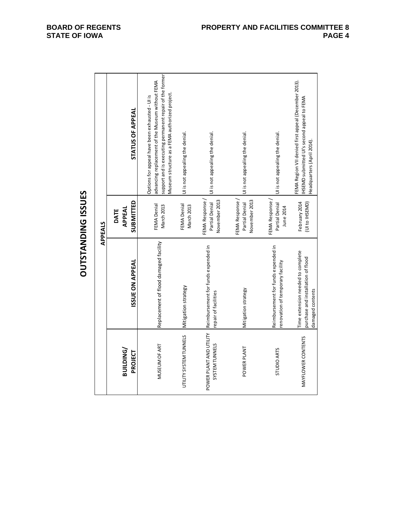|                                           |                                                                                             | APPEALS                                            |                                                                                                                                                                                                                |
|-------------------------------------------|---------------------------------------------------------------------------------------------|----------------------------------------------------|----------------------------------------------------------------------------------------------------------------------------------------------------------------------------------------------------------------|
| BUILDING/<br>PROJECT                      | ISSUE ON APPEAL                                                                             | SUBMITTED<br>APPEAL<br>DATE                        | STATUS OF APPEAL                                                                                                                                                                                               |
| MUSEUM OF ART                             | Replacement of flood damaged facility                                                       | FEMA Denial<br>March 2013                          | support and is executing permanent repair of the former<br>advancing replacement of the Museum without FEMA<br>Museum structure as a FEMA authorized project.<br>Options for appeal have been exhausted - Ulis |
| UTILITY SYSTEM TUNNELS                    | Mitigation strategy                                                                         | FEMA Denial<br>March 2013                          | U is not appealing the denial.                                                                                                                                                                                 |
| POWER PLANT AND UTILITY<br>SYSTEM TUNNELS | Reimbursement for funds expended in<br>repair of facilities                                 | FEMA Response /<br>November 2013<br>Partial Denial | Ul is not appealing the denial.                                                                                                                                                                                |
| POWER PLANT                               | Mitigation strategy                                                                         | FEMA Response /<br>November 2013<br>Partial Denial | U is not appealing the denial.                                                                                                                                                                                 |
| <b>STUDIO ARTS</b>                        | Reimbursement for funds expended in<br>renovation of temporary facility                     | FEMA Response /<br>Partial Denial<br>June 2014     | U is not appealing the denial.                                                                                                                                                                                 |
| MAYFLOWER CONTENTS                        | Time extension needed to complete<br>purchase and installation of flood<br>damaged contents | February 2014<br>(UI to IHSEMD)                    | FEMA Region VII denied first appeal (December 2013).<br>HSEMD submitted UI's second appeal to FEMA<br>Headquarters (April 2014).                                                                               |

## **OUTSTANDING ISSUES OUTSTANDING ISSUES**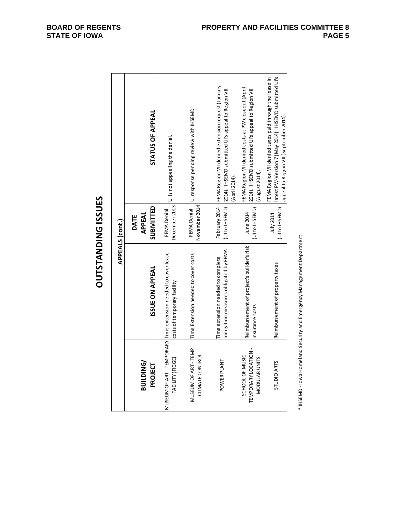**OUTSTANDING ISSUES OUTSTANDING ISSUES**

|                                                          |                                                                                               | APPEALS (cont.)              |                                                                                                                                                           |
|----------------------------------------------------------|-----------------------------------------------------------------------------------------------|------------------------------|-----------------------------------------------------------------------------------------------------------------------------------------------------------|
| <b>BUILDING/</b><br>PROJECT                              | ISSUE ON APPEAL                                                                               | SUBMITTED<br>APPEAL<br>DATE  | <b>STATUS OF APPEAL</b>                                                                                                                                   |
| FACILITY (FIGGE)                                         | MUSEUM OF ART - TEMPORARY Time extension needed to cover lease<br>costs of temporary facility | December 2013<br>FEMA Denial | UI is not appealing the denial.                                                                                                                           |
| MUSEUM OF ART - TEMP<br>CLIMATE CONTROL                  | Time Extension needed to cover costs                                                          | November 2014<br>FEMA Denial | Ul response pending review with IHSEMD                                                                                                                    |
| POWER PLANT                                              | mitigation measures obligated by FEMA<br>Time extension needed to complete                    | February 2014                | FEMA Region VII denied extension request (January<br>(UI to IHSEMD) 2014). IHSEMD submitted UI's appeal to Region VII<br>April 2014).                     |
| TEMPORARY LOCATION -<br>SCHOOL OF MUSIC<br>MODULAR UNITS | Reimbursement of project's builder's risk<br>insurance costs                                  | UI to IHSEMD)<br>June 2014   | FEMA Region VII denied costs at PW closeout (April<br>2014). IHSEMD submitted UI's appeal to Region VII<br>August 2014).                                  |
| <b>STUDIO ARTS</b>                                       | Reimbursement of property taxes                                                               | (UI to IHSEMD)<br>July 2014  | latest PW-Version 7 (May 2014). IHSEMD submitted UI's<br>FEMA Region VII denied taxes paid through the lease in<br>appeal to Region VII (September 2014). |

\* IHSEMD - Iowa Homeland Security and Emergency Management Department IHSEMD ‐ Iowa Homeland Security and Emergency Management Department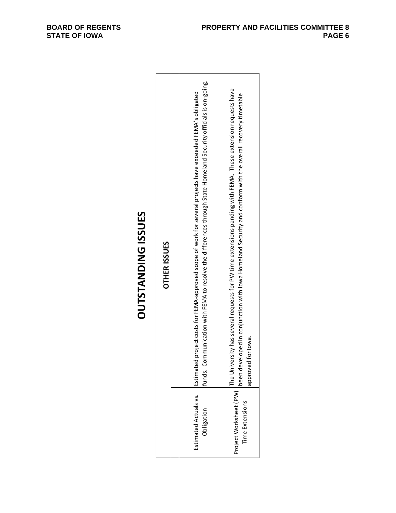# **OUTSTANDING ISSUES OUTSTANDING ISSUES**

|                                     | <b>OTHER ISSUES</b>                                                                                                                                                                                                               |
|-------------------------------------|-----------------------------------------------------------------------------------------------------------------------------------------------------------------------------------------------------------------------------------|
|                                     |                                                                                                                                                                                                                                   |
| Estimated Actuals vs.<br>Obligation | funds. Communication with FEMA to resolve the differences through State Homeland Security officials is on-going.<br>Estimated project costs for FEMA-approved scope of work for several projects have exceeded FEMA's obligated   |
| Time Extensions                     | ersity has several requests for PW time extensions pending with FEMA. These extension requests have<br>eloped in conjunction with lowa Homeland Security and conform with the overall recovery timetable<br>for lowa.<br>approved |